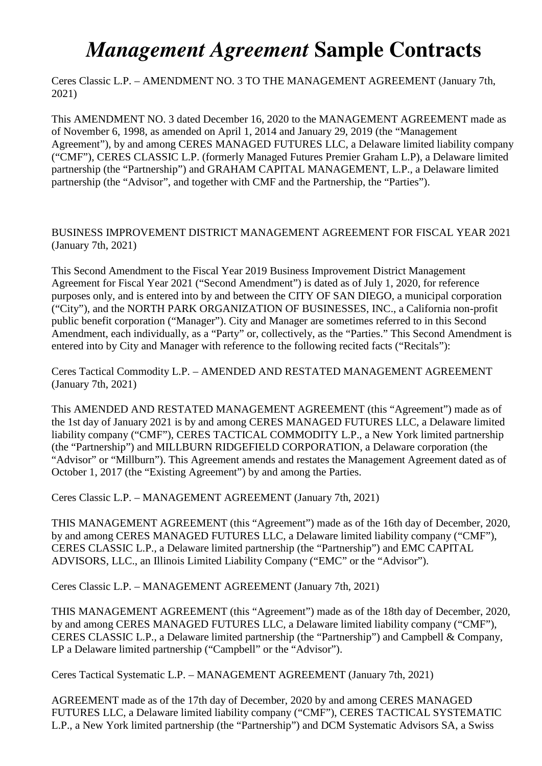## *Management Agreement* **Sample Contracts**

Ceres Classic L.P. – AMENDMENT NO. 3 TO THE MANAGEMENT AGREEMENT (January 7th, 2021)

This AMENDMENT NO. 3 dated December 16, 2020 to the MANAGEMENT AGREEMENT made as of November 6, 1998, as amended on April 1, 2014 and January 29, 2019 (the "Management Agreement"), by and among CERES MANAGED FUTURES LLC, a Delaware limited liability company ("CMF"), CERES CLASSIC L.P. (formerly Managed Futures Premier Graham L.P), a Delaware limited partnership (the "Partnership") and GRAHAM CAPITAL MANAGEMENT, L.P., a Delaware limited partnership (the "Advisor", and together with CMF and the Partnership, the "Parties").

## BUSINESS IMPROVEMENT DISTRICT MANAGEMENT AGREEMENT FOR FISCAL YEAR 2021 (January 7th, 2021)

This Second Amendment to the Fiscal Year 2019 Business Improvement District Management Agreement for Fiscal Year 2021 ("Second Amendment") is dated as of July 1, 2020, for reference purposes only, and is entered into by and between the CITY OF SAN DIEGO, a municipal corporation ("City"), and the NORTH PARK ORGANIZATION OF BUSINESSES, INC., a California non-profit public benefit corporation ("Manager"). City and Manager are sometimes referred to in this Second Amendment, each individually, as a "Party" or, collectively, as the "Parties." This Second Amendment is entered into by City and Manager with reference to the following recited facts ("Recitals"):

Ceres Tactical Commodity L.P. – AMENDED AND RESTATED MANAGEMENT AGREEMENT (January 7th, 2021)

This AMENDED AND RESTATED MANAGEMENT AGREEMENT (this "Agreement") made as of the 1st day of January 2021 is by and among CERES MANAGED FUTURES LLC, a Delaware limited liability company ("CMF"), CERES TACTICAL COMMODITY L.P., a New York limited partnership (the "Partnership") and MILLBURN RIDGEFIELD CORPORATION, a Delaware corporation (the "Advisor" or "Millburn"). This Agreement amends and restates the Management Agreement dated as of October 1, 2017 (the "Existing Agreement") by and among the Parties.

Ceres Classic L.P. – MANAGEMENT AGREEMENT (January 7th, 2021)

THIS MANAGEMENT AGREEMENT (this "Agreement") made as of the 16th day of December, 2020, by and among CERES MANAGED FUTURES LLC, a Delaware limited liability company ("CMF"), CERES CLASSIC L.P., a Delaware limited partnership (the "Partnership") and EMC CAPITAL ADVISORS, LLC., an Illinois Limited Liability Company ("EMC" or the "Advisor").

Ceres Classic L.P. – MANAGEMENT AGREEMENT (January 7th, 2021)

THIS MANAGEMENT AGREEMENT (this "Agreement") made as of the 18th day of December, 2020, by and among CERES MANAGED FUTURES LLC, a Delaware limited liability company ("CMF"), CERES CLASSIC L.P., a Delaware limited partnership (the "Partnership") and Campbell & Company, LP a Delaware limited partnership ("Campbell" or the "Advisor").

Ceres Tactical Systematic L.P. – MANAGEMENT AGREEMENT (January 7th, 2021)

AGREEMENT made as of the 17th day of December, 2020 by and among CERES MANAGED FUTURES LLC, a Delaware limited liability company ("CMF"), CERES TACTICAL SYSTEMATIC L.P., a New York limited partnership (the "Partnership") and DCM Systematic Advisors SA, a Swiss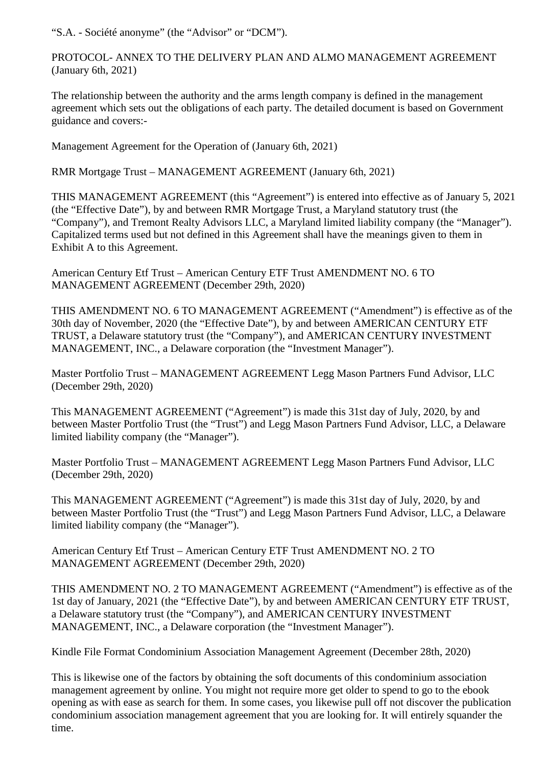"S.A. - Société anonyme" (the "Advisor" or "DCM").

PROTOCOL- ANNEX TO THE DELIVERY PLAN AND ALMO MANAGEMENT AGREEMENT (January 6th, 2021)

The relationship between the authority and the arms length company is defined in the management agreement which sets out the obligations of each party. The detailed document is based on Government guidance and covers:-

Management Agreement for the Operation of (January 6th, 2021)

RMR Mortgage Trust – MANAGEMENT AGREEMENT (January 6th, 2021)

THIS MANAGEMENT AGREEMENT (this "Agreement") is entered into effective as of January 5, 2021 (the "Effective Date"), by and between RMR Mortgage Trust, a Maryland statutory trust (the "Company"), and Tremont Realty Advisors LLC, a Maryland limited liability company (the "Manager"). Capitalized terms used but not defined in this Agreement shall have the meanings given to them in Exhibit A to this Agreement.

American Century Etf Trust – American Century ETF Trust AMENDMENT NO. 6 TO MANAGEMENT AGREEMENT (December 29th, 2020)

THIS AMENDMENT NO. 6 TO MANAGEMENT AGREEMENT ("Amendment") is effective as of the 30th day of November, 2020 (the "Effective Date"), by and between AMERICAN CENTURY ETF TRUST, a Delaware statutory trust (the "Company"), and AMERICAN CENTURY INVESTMENT MANAGEMENT, INC., a Delaware corporation (the "Investment Manager").

Master Portfolio Trust – MANAGEMENT AGREEMENT Legg Mason Partners Fund Advisor, LLC (December 29th, 2020)

This MANAGEMENT AGREEMENT ("Agreement") is made this 31st day of July, 2020, by and between Master Portfolio Trust (the "Trust") and Legg Mason Partners Fund Advisor, LLC, a Delaware limited liability company (the "Manager").

Master Portfolio Trust – MANAGEMENT AGREEMENT Legg Mason Partners Fund Advisor, LLC (December 29th, 2020)

This MANAGEMENT AGREEMENT ("Agreement") is made this 31st day of July, 2020, by and between Master Portfolio Trust (the "Trust") and Legg Mason Partners Fund Advisor, LLC, a Delaware limited liability company (the "Manager").

American Century Etf Trust – American Century ETF Trust AMENDMENT NO. 2 TO MANAGEMENT AGREEMENT (December 29th, 2020)

THIS AMENDMENT NO. 2 TO MANAGEMENT AGREEMENT ("Amendment") is effective as of the 1st day of January, 2021 (the "Effective Date"), by and between AMERICAN CENTURY ETF TRUST, a Delaware statutory trust (the "Company"), and AMERICAN CENTURY INVESTMENT MANAGEMENT, INC., a Delaware corporation (the "Investment Manager").

Kindle File Format Condominium Association Management Agreement (December 28th, 2020)

This is likewise one of the factors by obtaining the soft documents of this condominium association management agreement by online. You might not require more get older to spend to go to the ebook opening as with ease as search for them. In some cases, you likewise pull off not discover the publication condominium association management agreement that you are looking for. It will entirely squander the time.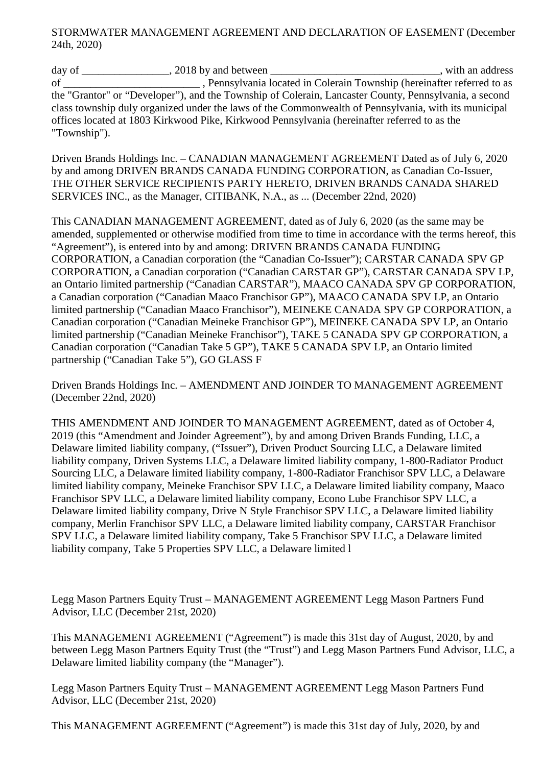## STORMWATER MANAGEMENT AGREEMENT AND DECLARATION OF EASEMENT (December 24th, 2020)

day of \_\_\_\_\_\_\_\_\_\_\_\_\_\_\_\_, 2018 by and between \_\_\_\_\_\_\_\_\_\_\_\_\_\_\_\_\_\_\_\_\_\_\_\_\_\_\_\_\_\_\_, with an address of \_\_\_\_\_\_\_\_\_\_\_\_\_\_\_\_\_\_\_\_\_\_\_\_\_ , Pennsylvania located in Colerain Township (hereinafter referred to as the "Grantor" or "Developer"), and the Township of Colerain, Lancaster County, Pennsylvania, a second class township duly organized under the laws of the Commonwealth of Pennsylvania, with its municipal offices located at 1803 Kirkwood Pike, Kirkwood Pennsylvania (hereinafter referred to as the "Township").

Driven Brands Holdings Inc. – CANADIAN MANAGEMENT AGREEMENT Dated as of July 6, 2020 by and among DRIVEN BRANDS CANADA FUNDING CORPORATION, as Canadian Co-Issuer, THE OTHER SERVICE RECIPIENTS PARTY HERETO, DRIVEN BRANDS CANADA SHARED SERVICES INC., as the Manager, CITIBANK, N.A., as ... (December 22nd, 2020)

This CANADIAN MANAGEMENT AGREEMENT, dated as of July 6, 2020 (as the same may be amended, supplemented or otherwise modified from time to time in accordance with the terms hereof, this "Agreement"), is entered into by and among: DRIVEN BRANDS CANADA FUNDING CORPORATION, a Canadian corporation (the "Canadian Co-Issuer"); CARSTAR CANADA SPV GP CORPORATION, a Canadian corporation ("Canadian CARSTAR GP"), CARSTAR CANADA SPV LP, an Ontario limited partnership ("Canadian CARSTAR"), MAACO CANADA SPV GP CORPORATION, a Canadian corporation ("Canadian Maaco Franchisor GP"), MAACO CANADA SPV LP, an Ontario limited partnership ("Canadian Maaco Franchisor"), MEINEKE CANADA SPV GP CORPORATION, a Canadian corporation ("Canadian Meineke Franchisor GP"), MEINEKE CANADA SPV LP, an Ontario limited partnership ("Canadian Meineke Franchisor"), TAKE 5 CANADA SPV GP CORPORATION, a Canadian corporation ("Canadian Take 5 GP"), TAKE 5 CANADA SPV LP, an Ontario limited partnership ("Canadian Take 5"), GO GLASS F

Driven Brands Holdings Inc. – AMENDMENT AND JOINDER TO MANAGEMENT AGREEMENT (December 22nd, 2020)

THIS AMENDMENT AND JOINDER TO MANAGEMENT AGREEMENT, dated as of October 4, 2019 (this "Amendment and Joinder Agreement"), by and among Driven Brands Funding, LLC, a Delaware limited liability company, ("Issuer"), Driven Product Sourcing LLC, a Delaware limited liability company, Driven Systems LLC, a Delaware limited liability company, 1-800-Radiator Product Sourcing LLC, a Delaware limited liability company, 1-800-Radiator Franchisor SPV LLC, a Delaware limited liability company, Meineke Franchisor SPV LLC, a Delaware limited liability company, Maaco Franchisor SPV LLC, a Delaware limited liability company, Econo Lube Franchisor SPV LLC, a Delaware limited liability company, Drive N Style Franchisor SPV LLC, a Delaware limited liability company, Merlin Franchisor SPV LLC, a Delaware limited liability company, CARSTAR Franchisor SPV LLC, a Delaware limited liability company, Take 5 Franchisor SPV LLC, a Delaware limited liability company, Take 5 Properties SPV LLC, a Delaware limited l

Legg Mason Partners Equity Trust – MANAGEMENT AGREEMENT Legg Mason Partners Fund Advisor, LLC (December 21st, 2020)

This MANAGEMENT AGREEMENT ("Agreement") is made this 31st day of August, 2020, by and between Legg Mason Partners Equity Trust (the "Trust") and Legg Mason Partners Fund Advisor, LLC, a Delaware limited liability company (the "Manager").

Legg Mason Partners Equity Trust – MANAGEMENT AGREEMENT Legg Mason Partners Fund Advisor, LLC (December 21st, 2020)

This MANAGEMENT AGREEMENT ("Agreement") is made this 31st day of July, 2020, by and